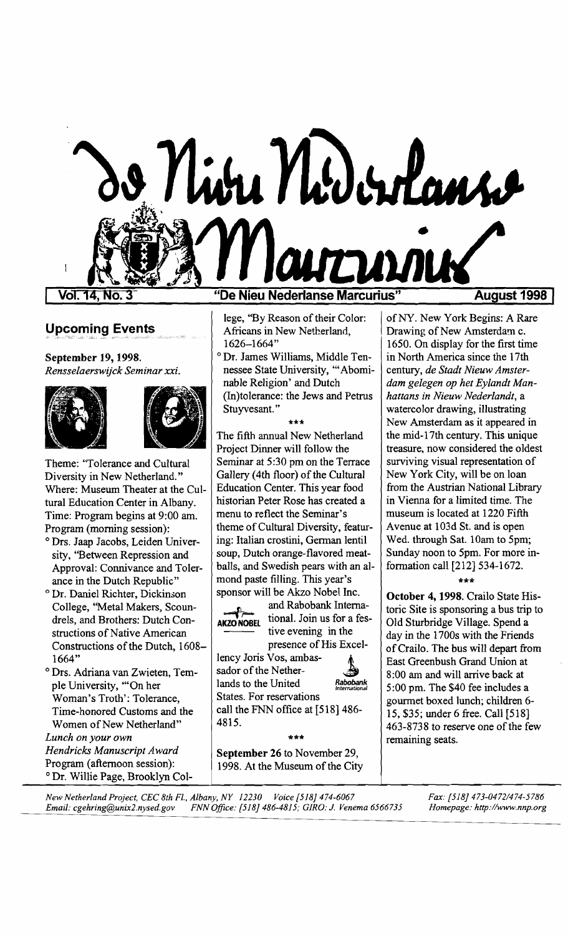

Vol. 14. No

## Upcoming Events

September 19, 1998. *Rensselaerswijck Seminar xxi.* 





Theme: ''Tolerance and Cultural Diversity in New Netherland." Where: Museum Theater at the Cultural Education Center in Albany. Time: Program begins at 9:00 am. Program (morning session):

- o Drs. Jaap Jacobs, Leiden University, "Between Repression and Approval: Connivance and Tolerance in the Dutch Republic"
- o Dr. Daniel Richter, Dickinson College, "Metal Makers, Scoundrels, and Brothers: Dutch Constructions of Native American Constructions of the Dutch, 1608-1664"
- o Drs. Adriana van Zwieten, Temple University, "'On her Woman's Troth': Tolerance, Time-honored Customs and the Women of New Netherland" *Lunch on your own*

*Hendricks Manuscript Award*  Program (afternoon session): o Dr. Willie Page, Brooklyn Col-

### "De Nieu Nederlanse Marcurius"

lege, "By Reason of their Color: Africans in New Netherland, 1626-1664"

o Dr. James Williams, Middle Tennessee State University, '" Abominable Religion' and Dutch (In)tolerance: the Jews and Petrus Stuyvesant. "

#### \*\*\*

The fifth annual New Netherland Project Dinner will follow the Seminar at 5:30 pm on the Terrace Gallery (4th floor) of the Cultural Education Center. This year food historian Peter Rose has created a menu to reflect the Seminar's theme of Cultural Diversity, featuring: Italian crostini, German lentil soup, Dutch orange-flavored meatballs, and Swedish pears with an almond paste filling. This year's sponsor will be Akzo Nobel Inc.



and Rabobank Interna-<br>AKZONOBEL tional, Join us for a festive evening in the presence of His Excel-

lency Joris Vos, ambas-<br>sador of the Nether-*Rabobank* lands to the United *International*  States. For reservations call the FNN office at [518] 486 4815.

September 26 to November 29, 1998. At the Museum of the City

\*\*\*

ofNY. New York Begins: A Rare Drawing of New Amsterdam c. 1650. On display for the first time in North America since the 17th *dam gelegen op het Eylandt Manhattans in Nieuw Nederlandt,*  a century, *de Stadt Nieuw Amster*watercolor drawing, illustrating New Amsterdam as it appeared in the mid-17th century. This unique treasure, now considered the oldest surviving visual representation of New York City, will be on loan from the Austrian National Library in Vienna for a limited time. The museum is located at 1220 Fifth Avenue at 103d St. and is open Wed. through Sat. 10am to 5pm; Sunday noon to 5pm. For more information call [212] 534-1672.

#### \*\*\*

October 4, 1998. Crailo State Historic Site is sponsoring a bus trip to Old Sturbridge Village. Spend a day in the 1700s with the Friends ofCrailo. The bus will depart from East Greenbush Grand Union at 8:00 am and will arrive back at 5:00 pm. The \$40 fee includes a gourmet boxed lunch; children 6 15, \$35; under 6 free. Call [518] 463-8738 to reserve one of the few remaining seats.

*New Netherland Project, CEC 8th* Fl., *Albany, NY 12230 Voice [518] 474-6067 Fax: [518] 473-04721474-5786 Email: cgehring@unix2.nysed.gov FNN Office: [518] 486-4815; GIRO: J. Venema 6566735*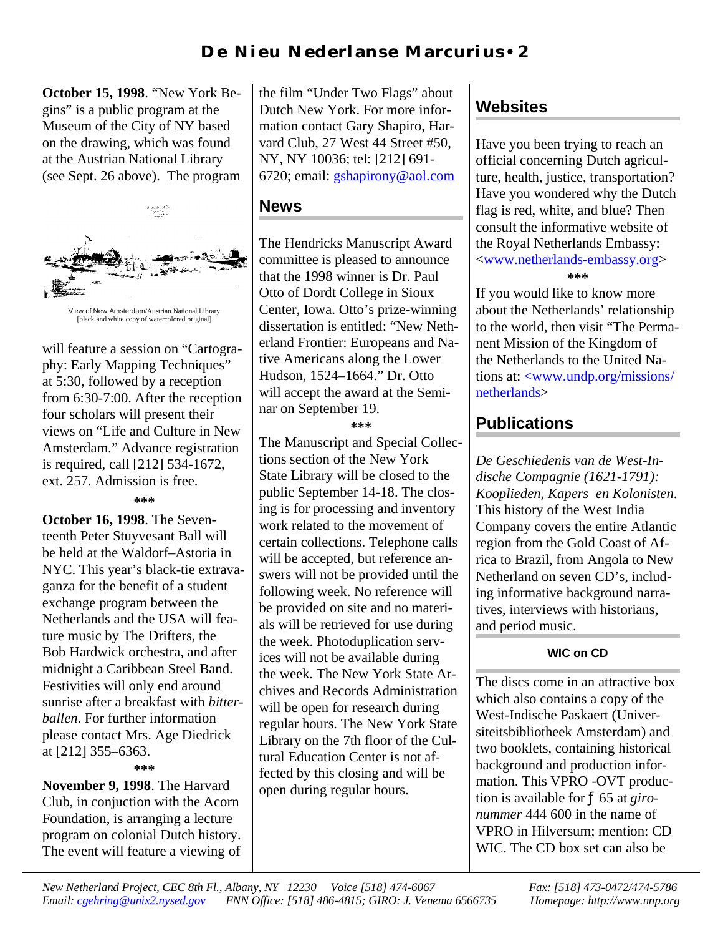## **D e Ni eu N eder l an se M ar cu r i u s** • **2**

**October 15, 1998**. "New York Begins" is a public program at the Museum of the City of NY based on the drawing, which was found at the Austrian National Library (see Sept. 26 above). The program



[black and white copy of watercolored original]

will feature a session on "Cartography: Early Mapping Techniques" at 5:30, followed by a reception from 6:30-7:00. After the reception four scholars will present their views on "Life and Culture in New Amsterdam." Advance registration is required, call [212] 534-1672, ext. 257. Admission is free.

#### **\*\*\***

**October 16, 1998**. The Seventeenth Peter Stuyvesant Ball will be held at the Waldorf–Astoria in NYC. This year's black-tie extravaganza for the benefit of a student exchange program between the Netherlands and the USA will feature music by The Drifters, the Bob Hardwick orchestra, and after midnight a Caribbean Steel Band. Festivities will only end around sunrise after a breakfast with *bitterballen*. For further information please contact Mrs. Age Diedrick at [212] 355–6363.

**\*\*\***

**November 9, 1998**. The Harvard Club, in conjuction with the Acorn Foundation, is arranging a lecture program on colonial Dutch history. The event will feature a viewing of

the film "Under Two Flags" about Dutch New York. For more information contact Gary Shapiro, Harvard Club, 27 West 44 Street #50, NY, NY 10036; tel: [212] 691- 6720; email: [gshapirony@aol.com](mailto:gshapirony@aol.com)

### **News**

The Hendricks Manuscript Award committee is pleased to announce that the 1998 winner is Dr. Paul Otto of Dordt College in Sioux Center, Iowa. Otto's prize-winning dissertation is entitled: "New Netherland Frontier: Europeans and Native Americans along the Lower Hudson, 1524–1664." Dr. Otto will accept the award at the Seminar on September 19.

**\*\*\***

The Manuscript and Special Collections section of the New York State Library will be closed to the public September 14-18. The closing is for processing and inventory work related to the movement of certain collections. Telephone calls will be accepted, but reference answers will not be provided until the following week. No reference will be provided on site and no materials will be retrieved for use during the week. Photoduplication services will not be available during the week. The New York State Archives and Records Administration will be open for research during regular hours. The New York State Library on the 7th floor of the Cultural Education Center is not affected by this closing and will be open during regular hours.

## **Websites**

Have you been trying to reach an official concerning Dutch agriculture, health, justice, transportation? Have you wondered why the Dutch flag is red, white, and blue? Then consult the informative website of the Royal Netherlands Embassy: [<www.netherlands-embassy.org>](http://www.netherlands-embassy.org) **\*\*\***

If you would like to know more about the Netherlands' relationship to the world, then visit "The Permanent Mission of the Kingdom of the Netherlands to the United Nations at: [<www.undp.org/missions/](http://www.undp.org/missions/netherlands) [netherlands>](htp://www.undp.org/missions/netherlands)

### **Publications**

*De Geschiedenis van de West-Indische Compagnie (1621-1791): Kooplieden, Kapers en Kolonisten*. This history of the West India Company covers the entire Atlantic region from the Gold Coast of Africa to Brazil, from Angola to New Netherland on seven CD's, including informative background narratives, interviews with historians, and period music.

#### **WIC on CD**

The discs come in an attractive box which also contains a copy of the West-Indische Paskaert (Universiteitsbibliotheek Amsterdam) and two booklets, containing historical background and production information. This VPRO -OVT production is available for ƒ 65 at *gironummer* 444 600 in the name of VPRO in Hilversum; mention: CD WIC. The CD box set can also be

*New Netherland Project, CEC 8th Fl., Albany, NY 12230 Voice [518] 474-6067 Fax: [518] 473-0472/474-5786 Email: [cgehring@unix2.nysed.gov](mailto:cgehring@unix2.nysed.gov) FNN Office: [518] 486-4815; GIRO: J. Venema 6566735 Homepage: http://www.nnp.org*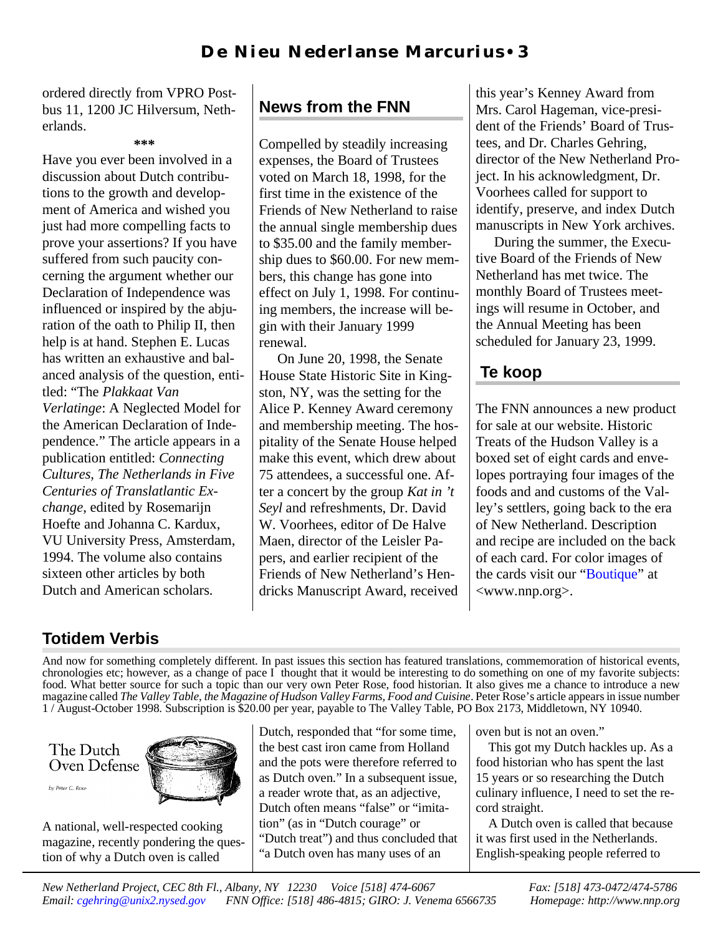ordered directly from VPRO Postbus 11, 1200 JC Hilversum, Netherlands.

**\*\*\***

Have you ever been involved in a discussion about Dutch contributions to the growth and development of America and wished you just had more compelling facts to prove your assertions? If you have suffered from such paucity concerning the argument whether our Declaration of Independence was influenced or inspired by the abjuration of the oath to Philip II, then help is at hand. Stephen E. Lucas has written an exhaustive and balanced analysis of the question, entitled: "The *Plakkaat Van Verlatinge*: A Neglected Model for the American Declaration of Independence." The article appears in a publication entitled: *Connecting Cultures, The Netherlands in Five Centuries of Translatlantic Exchange*, edited by Rosemarijn Hoefte and Johanna C. Kardux, VU University Press, Amsterdam, 1994. The volume also contains sixteen other articles by both Dutch and American scholars.

# **News from the FNN**

Compelled by steadily increasing expenses, the Board of Trustees voted on March 18, 1998, for the first time in the existence of the Friends of New Netherland to raise the annual single membership dues to \$35.00 and the family membership dues to \$60.00. For new members, this change has gone into effect on July 1, 1998. For continuing members, the increase will begin with their January 1999 renewal.

 On June 20, 1998, the Senate House State Historic Site in Kingston, NY, was the setting for the Alice P. Kenney Award ceremony and membership meeting. The hospitality of the Senate House helped make this event, which drew about 75 attendees, a successful one. After a concert by the group *Kat in 't Seyl* and refreshments, Dr. David W. Voorhees, editor of De Halve Maen, director of the Leisler Papers, and earlier recipient of the Friends of New Netherland's Hendricks Manuscript Award, received this year's Kenney Award from Mrs. Carol Hageman, vice-president of the Friends' Board of Trustees, and Dr. Charles Gehring, director of the New Netherland Project. In his acknowledgment, Dr. Voorhees called for support to identify, preserve, and index Dutch manuscripts in New York archives.

 During the summer, the Executive Board of the Friends of New Netherland has met twice. The monthly Board of Trustees meetings will resume in October, and the Annual Meeting has been scheduled for January 23, 1999.

## **Te koop**

The FNN announces a new product for sale at our website. Historic Treats of the Hudson Valley is a boxed set of eight cards and envelopes portraying four images of the foods and and customs of the Valley's settlers, going back to the era of New Netherland. Description and recipe are included on the back of each card. For color images of the cards visit our ["Boutique"](http://www.nnp.org/fnnstore/boutique.html) at <www.nnp.org>.

# **Totidem Verbis**

And now for something completely different. In past issues this section has featured translations, commemoration of historical events, chronologies etc; however, as a change of pace  $I<sup>'</sup>$  thought that it would be interesting to do something on one of my favorite subjects: food. What better source for such a topic than our very own Peter Rose, food historian. It also gives me a chance to introduce a new magazine called *The Valley Table*, *the Magazine of Hudson Valley Farms, Food and Cuisine*. Peter Rose's article appears in issue number 1 / August-October 1998. Subscription is \$20.00 per year, payable to The Valley Table, PO Box 2173, Middletown, NY 10940.

The Dutch Oven Defense by Peter C. Rose



A national, well-respected cooking magazine, recently pondering the question of why a Dutch oven is called

Dutch, responded that "for some time, the best cast iron came from Holland and the pots were therefore referred to as Dutch oven." In a subsequent issue, a reader wrote that, as an adjective, Dutch often means "false" or "imitation" (as in "Dutch courage" or "Dutch treat") and thus concluded that "a Dutch oven has many uses of an

oven but is not an oven."

This got my Dutch hackles up. As a food historian who has spent the last 15 years or so researching the Dutch culinary influence, I need to set the record straight.

A Dutch oven is called that because it was first used in the Netherlands. English-speaking people referred to